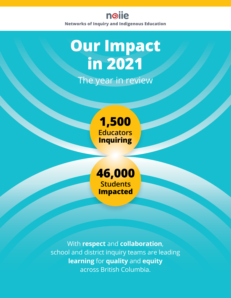

## **Our Impact in 2021** The year in review



**46,000 Students Impacted**

With **respect** and **collaboration**, school and district inquiry teams are leading **learning** for **quality** and **equity**  across British Columbia.